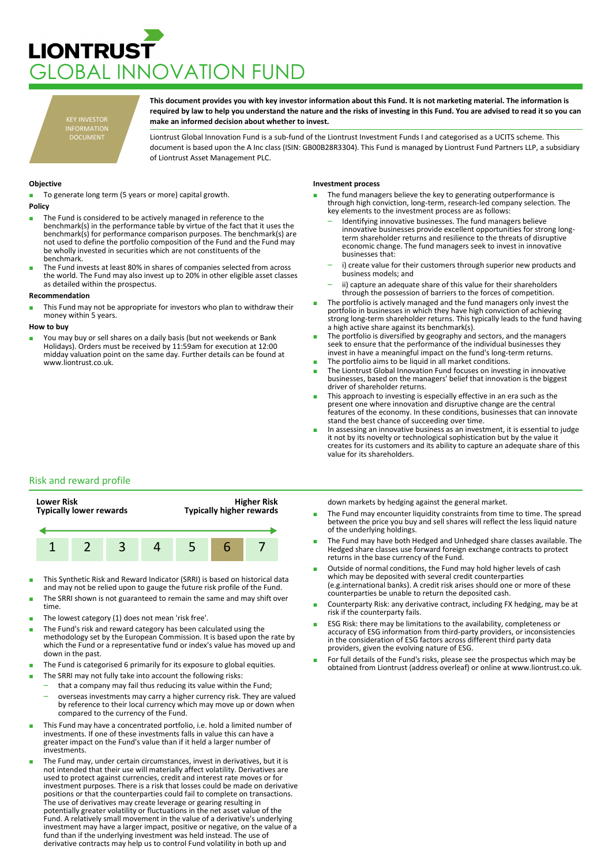## **LIONTRUST** LOBAL INNOVATION FUND

KEY INVESTOR INFORMATION DOCUMENT

**This document provides you with key investor information about this Fund. It is not marketing material. The information is required by law to help you understand the nature and the risks of investing in this Fund. You are advised to read it so you can make an informed decision about whether to invest.**

Liontrust Global Innovation Fund is a sub-fund of the Liontrust Investment Funds I and categorised as a UCITS scheme. This document is based upon the A Inc class (ISIN: GB00B28R3304). This Fund is managed by Liontrust Fund Partners LLP, a subsidiary of Liontrust Asset Management PLC.

## **Objective**

To generate long term (5 years or more) capital growth.

- **Policy**
- The Fund is considered to be actively managed in reference to the benchmark(s) in the performance table by virtue of the fact that it uses the benchmark(s) for performance comparison purposes. The benchmark(s) are not used to define the portfolio composition of the Fund and the Fund may be wholly invested in securities which are not constituents of the benchmark.
- The Fund invests at least 80% in shares of companies selected from across the world. The Fund may also invest up to 20% in other eligible asset classes as detailed within the prospectus.

## **Recommendation**

This Fund may not be appropriate for investors who plan to withdraw their money within 5 years.

### **How to buy**

You may buy or sell shares on a daily basis (but not weekends or Bank Holidays). Orders must be received by 11:59am for execution at 12:00 midday valuation point on the same day. Further details can be found at www.liontrust.co.uk.

## **Investment process**

- The fund managers believe the key to generating outperformance is through high conviction, long-term, research-led company selection. The key elements to the investment process are as follows:
	- Identifying innovative businesses. The fund managers believe innovative businesses provide excellent opportunities for strong longterm shareholder returns and resilience to the threats of disruptive economic change. The fund managers seek to invest in innovative businesses that:
	- i) create value for their customers through superior new products and business models; and
	- ii) capture an adequate share of this value for their shareholders through the possession of barriers to the forces of competition.
- The portfolio is actively managed and the fund managers only invest the portfolio in businesses in which they have high conviction of achieving strong long-term shareholder returns. This typically leads to the fund having a high active share against its benchmark(s).
- The portfolio is diversified by geography and sectors, and the managers seek to ensure that the performance of the individual businesses they invest in have a meaningful impact on the fund's long-term returns.
- The portfolio aims to be liquid in all market conditions.
- The Liontrust Global Innovation Fund focuses on investing in innovative businesses, based on the managers' belief that innovation is the biggest driver of shareholder returns.
- This approach to investing is especially effective in an era such as the present one where innovation and disruptive change are the central features of the economy. In these conditions, businesses that can innovate stand the best chance of succeeding over time.
- In assessing an innovative business as an investment, it is essential to judge it not by its novelty or technological sophistication but by the value it creates for its customers and its ability to capture an adequate share of this value for its shareholders.

## Risk and reward profile



- This Synthetic Risk and Reward Indicator (SRRI) is based on historical data and may not be relied upon to gauge the future risk profile of the Fund.
- The SRRI shown is not guaranteed to remain the same and may shift over time.
- The lowest category (1) does not mean 'risk free'.
- The Fund's risk and reward category has been calculated using the methodology set by the European Commission. It is based upon the rate by which the Fund or a representative fund or index's value has moved up and down in the past.
- The Fund is categorised 6 primarily for its exposure to global equities.
- The SRRI may not fully take into account the following risks:
	- that a company may fail thus reducing its value within the Fund;
	- overseas investments may carry a higher currency risk. They are valued by reference to their local currency which may move up or down when compared to the currency of the Fund.
- This Fund may have a concentrated portfolio, i.e. hold a limited number of investments. If one of these investments falls in value this can have a greater impact on the Fund's value than if it held a larger number of investments.
- The Fund may, under certain circumstances, invest in derivatives, but it is not intended that their use will materially affect volatility. Derivatives are used to protect against currencies, credit and interest rate moves or for investment purposes. There is a risk that losses could be made on derivative positions or that the counterparties could fail to complete on transactions. The use of derivatives may create leverage or gearing resulting in potentially greater volatility or fluctuations in the net asset value of the Fund. A relatively small movement in the value of a derivative's underlying investment may have a larger impact, positive or negative, on the value of a fund than if the underlying investment was held instead. The use of derivative contracts may help us to control Fund volatility in both up and

down markets by hedging against the general market.

- The Fund may encounter liquidity constraints from time to time. The spread between the price you buy and sell shares will reflect the less liquid nature of the underlying holdings.
- The Fund may have both Hedged and Unhedged share classes available. The Hedged share classes use forward foreign exchange contracts to protect returns in the base currency of the Fund.
- Outside of normal conditions, the Fund may hold higher levels of cash which may be deposited with several credit counterparties (e.g.international banks). A credit risk arises should one or more of these counterparties be unable to return the deposited cash.
- Counterparty Risk: any derivative contract, including FX hedging, may be at risk if the counterparty fails.
- ESG Risk: there may be limitations to the availability, completeness or accuracy of ESG information from third-party providers, or inconsistencies in the consideration of ESG factors across different third party data providers, given the evolving nature of ESG.
- For full details of the Fund's risks, please see the prospectus which may be obtained from Liontrust (address overleaf) or online at www.liontrust.co.uk.